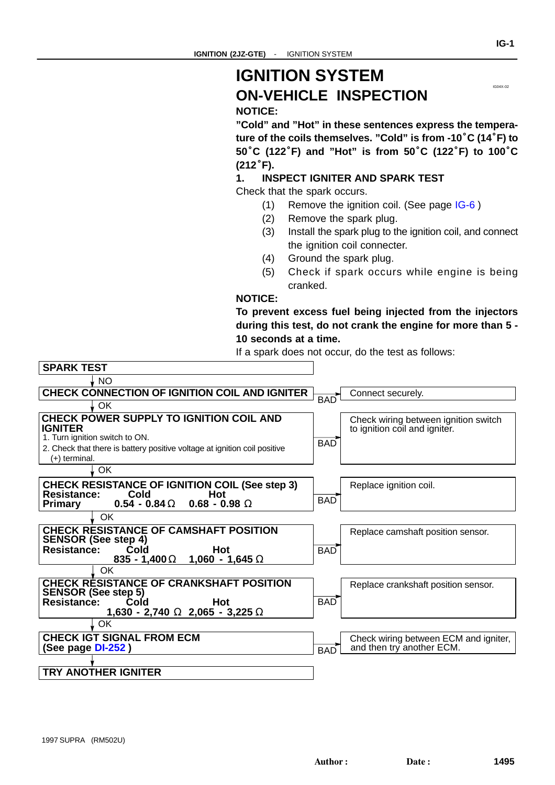### <span id="page-0-0"></span>**IGNITION SYSTEM ON-VEHICLE INSPECTION**

**NOTICE:**

**"Cold" and "Hot" in these sentences express the tempera-**NOTICE:<br>"Cold" and "Hot" in these sentences express the tempera-<br>ture of the coils themselves. "Cold" is from -10<sup>°</sup>C (14<sup>°</sup>F) to  $\%$ Cold" and "Hot" in these sentences express the tempera-<br>ture of the coils themselves. "Cold" is from -10°C (14°F) to<br>50°C (122°F) and "Hot" is from 50°C (122°F) to 100°C ture of t<br>50**°C** (1<br>(212°F).

#### **1. INSPECT IGNITER AND SPARK TEST**

Check that the spark occurs.

- (1) Remove the ignition coil. (See page IG-6 )
- (2) Remove the spark plug.
- (3) Install the spark plug to the ignition coil, and connect the ignition coil connecter.
- (4) Ground the spark plug.
- (5) Check if spark occurs while engine is being cranked.

#### **NOTICE:**

**To prevent excess fuel being injected from the injectors during this test, do not crank the engine for more than 5 - 10 seconds at a time.**

If a spark does not occur, do the test as follows:

| <b>SPARK TEST</b>                                                                          |            |                                                                       |
|--------------------------------------------------------------------------------------------|------------|-----------------------------------------------------------------------|
| <b>NO</b>                                                                                  |            |                                                                       |
| <b>CHECK CONNECTION OF IGNITION COIL AND IGNITER</b>                                       | <b>BAD</b> | Connect securely.                                                     |
| ↓ OK                                                                                       |            |                                                                       |
| <b>CHECK POWER SUPPLY TO IGNITION COIL AND</b><br><b>IGNITER</b>                           |            | Check wiring between ignition switch<br>to ignition coil and igniter. |
| 1. Turn ignition switch to ON.                                                             | <b>BAD</b> |                                                                       |
| 2. Check that there is battery positive voltage at ignition coil positive                  |            |                                                                       |
| (+) terminal.                                                                              |            |                                                                       |
| OK                                                                                         |            |                                                                       |
| <b>CHECK RESISTANCE OF IGNITION COIL (See step 3)</b><br><b>Resistance:</b><br>Cold<br>Hot | <b>BAD</b> | Replace ignition coil.                                                |
| $0.54 - 0.84 \Omega$ 0.68 - 0.98 $\Omega$<br><b>Primary</b>                                |            |                                                                       |
| OK                                                                                         |            |                                                                       |
| <b>CHECK RESISTANCE OF CAMSHAFT POSITION</b><br><b>SENSOR (See step 4)</b>                 |            | Replace camshaft position sensor.                                     |
| <b>Resistance:</b><br>Cold<br><b>Hot</b><br>835 - 1,400 $\Omega$<br>1,060 - 1,645 $\Omega$ | <b>BAD</b> |                                                                       |
| ОК                                                                                         |            |                                                                       |
| <b>CHECK RESISTANCE OF CRANKSHAFT POSITION</b><br><b>SENSOR (See step 5)</b>               |            | Replace crankshaft position sensor.                                   |
| Hot<br>Resistance:<br>Cold<br>1,630 - 2,740 $\Omega$ 2,065 - 3,225 $\Omega$                | <b>BAD</b> |                                                                       |
| OK                                                                                         |            |                                                                       |
| <b>CHECK IGT SIGNAL FROM ECM</b><br>(See page DI-252)                                      | <b>BAD</b> | Check wiring between ECM and igniter,<br>and then try another ECM.    |
|                                                                                            |            |                                                                       |
| <b>TRY ANOTHER IGNITER</b>                                                                 |            |                                                                       |
|                                                                                            |            |                                                                       |

IG04X-02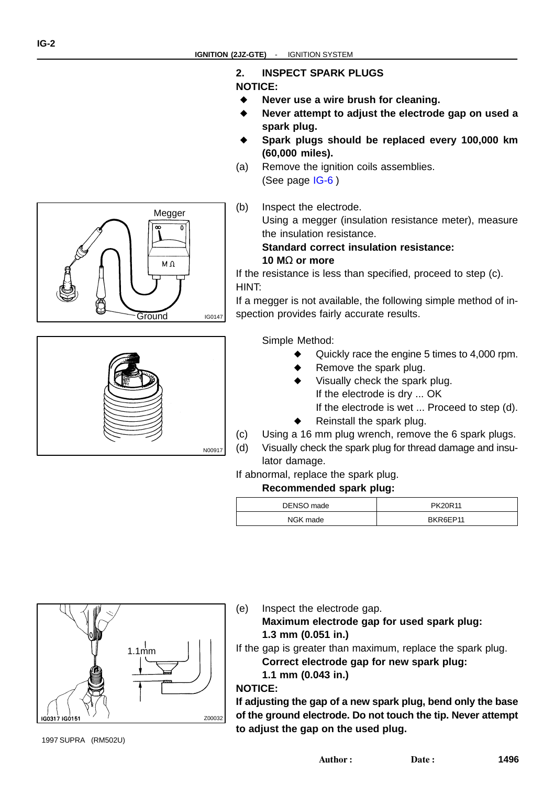#### **2. INSPECT SPARK PLUGS**

#### **NOTICE:**

- ▲ **Never use a wire brush for cleaning.**
- J **Never attempt to adjust the electrode gap on used a spark plug.**  $\overline{a}$
- **Spark plugs should be replaced every 100,000 km (60,000 miles).**
- (a) Remove the ignition coils assemblies. (See page [IG-6](#page-0-0) )

(b) Inspect the electrode.

Using a megger (insulation resistance meter), measure the insulation resistance.

#### **Standard correct insulation resistance: 10 M**Ω **or more**

If the resistance is less than specified, proceed to step (c). HINT:

If a megger is not available, the following simple method of inspection provides fairly accurate results.

Simple Method:

- Quickly race the engine 5 times to 4,000 rpm. j
- Remove the spark plug.
- J Visually check the spark plug. If the electrode is dry ... OK If the electrode is wet ... Proceed to step (d).  $\overline{\phantom{a}}$
- Reinstall the spark plug.
- (c) Using a 16 mm plug wrench, remove the 6 spark plugs.
- (d) Visually check the spark plug for thread damage and insulator damage.

#### If abnormal, replace the spark plug.

#### **Recommended spark plug:**

| DENSO made | PK20R11  |
|------------|----------|
| NGK made   | BKR6EP11 |



(e) Inspect the electrode gap.

**Maximum electrode gap for used spark plug: 1.3 mm (0.051 in.)**

If the gap is greater than maximum, replace the spark plug. **Correct electrode gap for new spark plug:**

**1.1 mm (0.043 in.)**

**NOTICE:**

**If adjusting the gap of a new spark plug, bend only the base of the ground electrode. Do not touch the tip. Never attempt to adjust the gap on the used plug.**



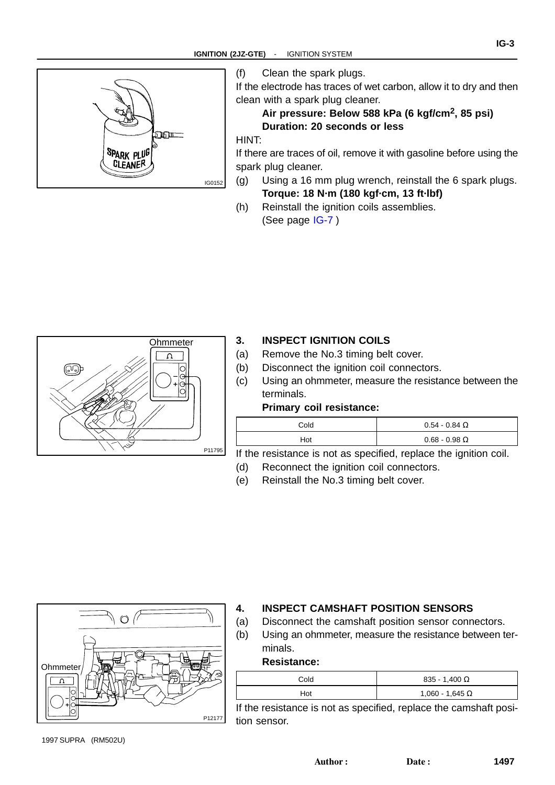

(f) Clean the spark plugs.

If the electrode has traces of wet carbon, allow it to dry and then clean with a spark plug cleaner.

**IG-3**

#### **Air pressure: Below 588 kPa (6 kgf/cm2, 85 psi) Duration: 20 seconds or less**

#### HINT:

If there are traces of oil, remove it with gasoline before using the spark plug cleaner.

- (g) Using a 16 mm plug wrench, reinstall the 6 spark plugs. **Torque: 18 N·m (180 kgf·cm, 13 ft·lbf)**
- (h) Reinstall the ignition coils assemblies. (See page [IG-7](#page-0-0) )



#### **3. INSPECT IGNITION COILS**

- (a) Remove the No.3 timing belt cover.
- (b) Disconnect the ignition coil connectors.
- (c) Using an ohmmeter, measure the resistance between the terminals.

#### **Primary coil resistance:**

| Cold | $0.54 - 0.84$ $\Omega$ |
|------|------------------------|
| Hot  | $0.68 - 0.98 \Omega$   |

If the resistance is not as specified, replace the ignition coil.

- (d) Reconnect the ignition coil connectors.
- (e) Reinstall the No.3 timing belt cover.



#### **4. INSPECT CAMSHAFT POSITION SENSORS**

- (a) Disconnect the camshaft position sensor connectors.
- (b) Using an ohmmeter, measure the resistance between terminals.

#### **Resistance:**

| Cold | $835 - 1,400 \Omega$   |
|------|------------------------|
| Hot  | 1,060 - 1,645 $\Omega$ |

If the resistance is not as specified, replace the camshaft position sensor.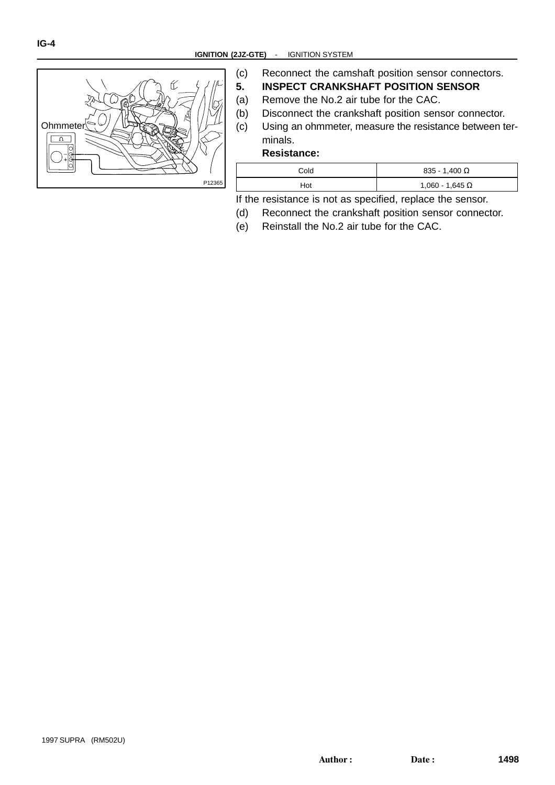

(c) Reconnect the camshaft position sensor connectors. **5. INSPECT CRANKSHAFT POSITION SENSOR**

- (a) Remove the No.2 air tube for the CAC.
- (b) Disconnect the crankshaft position sensor connector.
- (c) Using an ohmmeter, measure the resistance between terminals.

#### **Resistance:**

| Cold | $835 - 1,400 \Omega$ |
|------|----------------------|
| Hot  | 1,060 - 1,645 Ω      |

If the resistance is not as specified, replace the sensor.

- (d) Reconnect the crankshaft position sensor connector.
- (e) Reinstall the No.2 air tube for the CAC.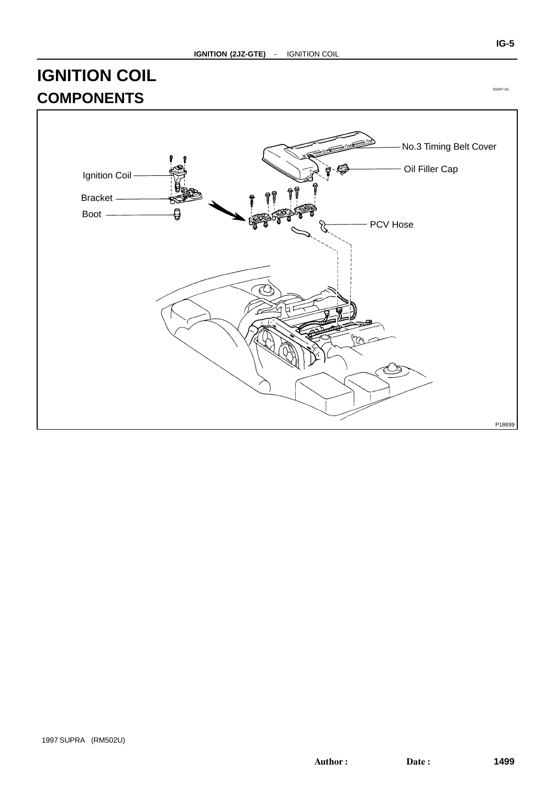## **IGNITION COIL COMPONENTS**



IG04Y-01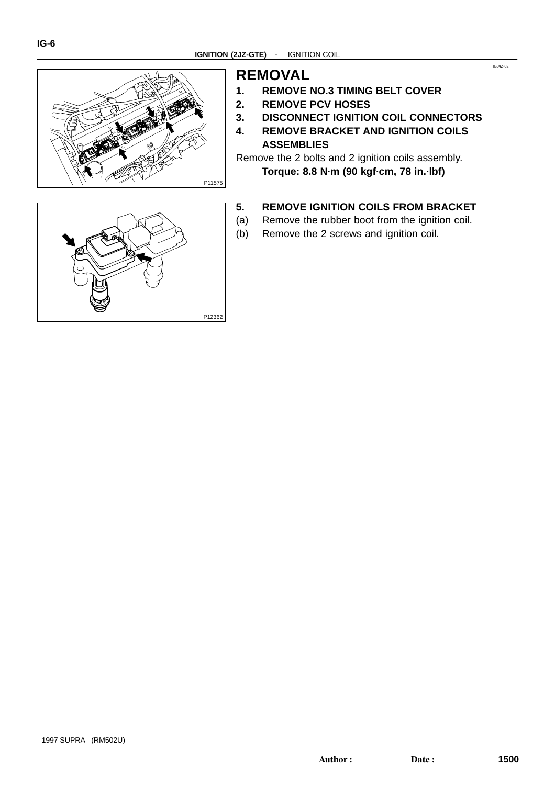

### **REMOVAL**

- **1. REMOVE NO.3 TIMING BELT COVER**
- **2. REMOVE PCV HOSES**
- **3. DISCONNECT IGNITION COIL CONNECTORS**
- **4. REMOVE BRACKET AND IGNITION COILS ASSEMBLIES**

Remove the 2 bolts and 2 ignition coils assembly. **Torque: 8.8 N·m (90 kgf·cm, 78 in.·lbf)**

#### **5. REMOVE IGNITION COILS FROM BRACKET**

- (a) Remove the rubber boot from the ignition coil.
- (b) Remove the 2 screws and ignition coil.



IG04Z-02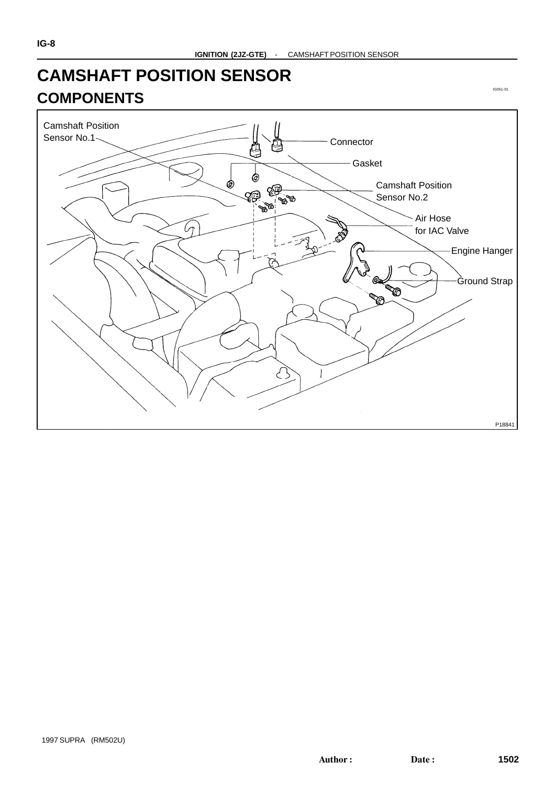# **CAMSHAFT POSITION SENSOR COMPONENTS**



IG051-01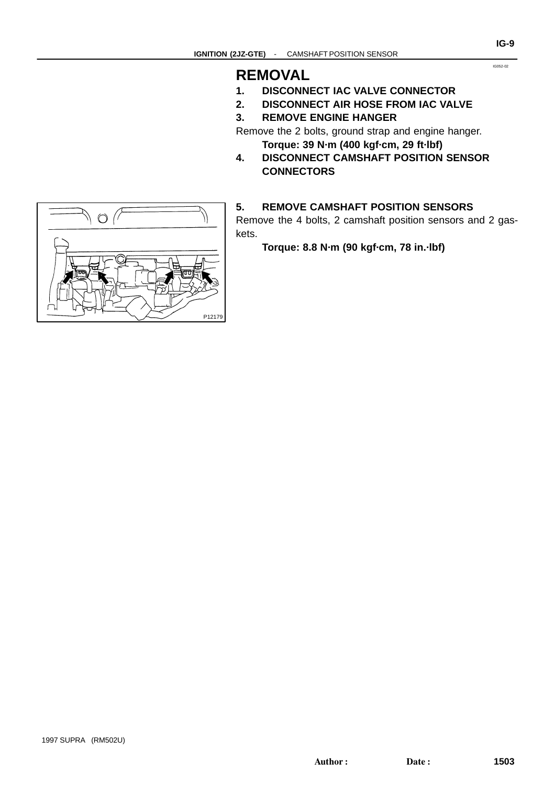### **REMOVAL**

- **1. DISCONNECT IAC VALVE CONNECTOR**
- **2. DISCONNECT AIR HOSE FROM IAC VALVE**
- **3. REMOVE ENGINE HANGER**

Remove the 2 bolts, ground strap and engine hanger. **Torque: 39 N·m (400 kgf·cm, 29 ft·lbf)**

**4. DISCONNECT CAMSHAFT POSITION SENSOR CONNECTORS**

#### **5. REMOVE CAMSHAFT POSITION SENSORS**

Remove the 4 bolts, 2 camshaft position sensors and 2 gaskets.

**Torque: 8.8 N·m (90 kgf·cm, 78 in.·lbf)**



IG052-02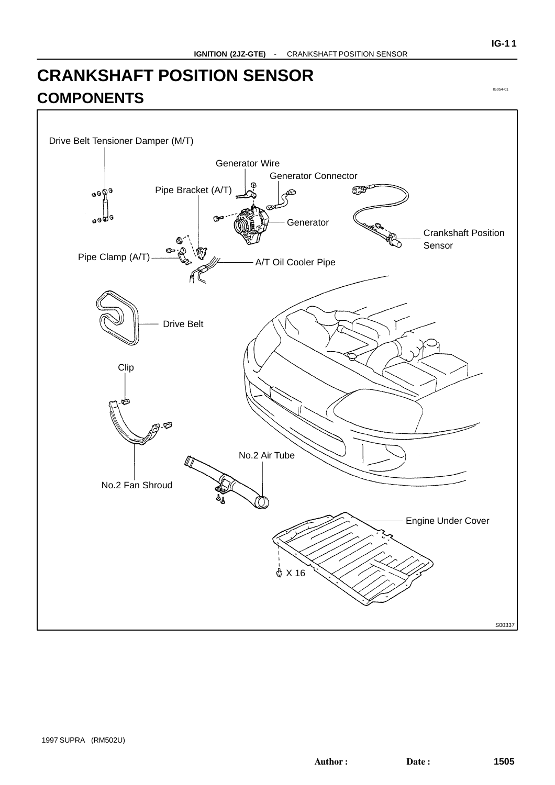## **CRANKSHAFT POSITION SENSOR COMPONENTS**

Drive Belt Tensioner Damper (M/T) Generator Wire Generator Connector  $\Theta$ Pipe Bracket (A/T) **SEPT** கூடி **OOA Generator** Crankshaft Position Sensor Pipe Clamp (A/T) A/T Oil Cooler Pipe Drive Belt Clip نطح. ھی۔ No.2 Air Tube No.2 Fan Shroud Engine Under Cover  $A$   $\times$  16 S00337

IG054-01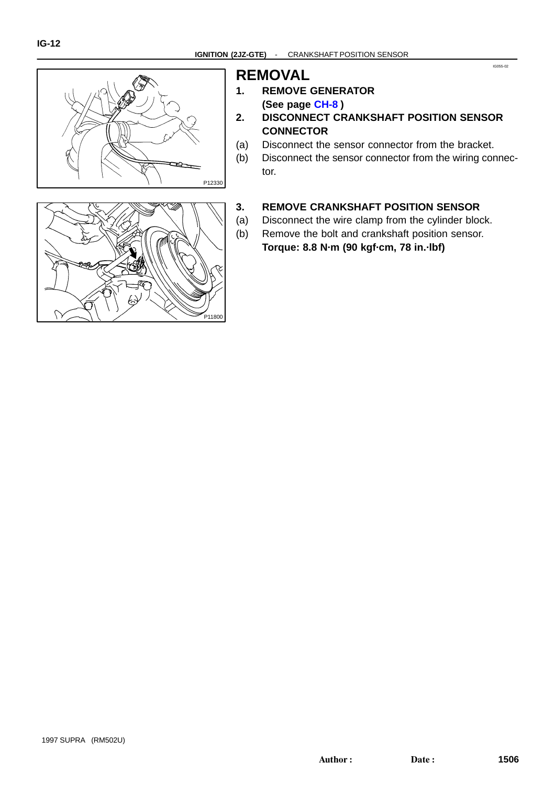



### **REMOVAL**

- **1. REMOVE GENERATOR (See page [CH-8](#page-0-0) )**
- **2. DISCONNECT CRANKSHAFT POSITION SENSOR CONNECTOR**
- (a) Disconnect the sensor connector from the bracket.
- (b) Disconnect the sensor connector from the wiring connector.

IG055-02

#### **3. REMOVE CRANKSHAFT POSITION SENSOR**

- (a) Disconnect the wire clamp from the cylinder block.
- (b) Remove the bolt and crankshaft position sensor.

**Torque: 8.8 N·m (90 kgf·cm, 78 in.·lbf)**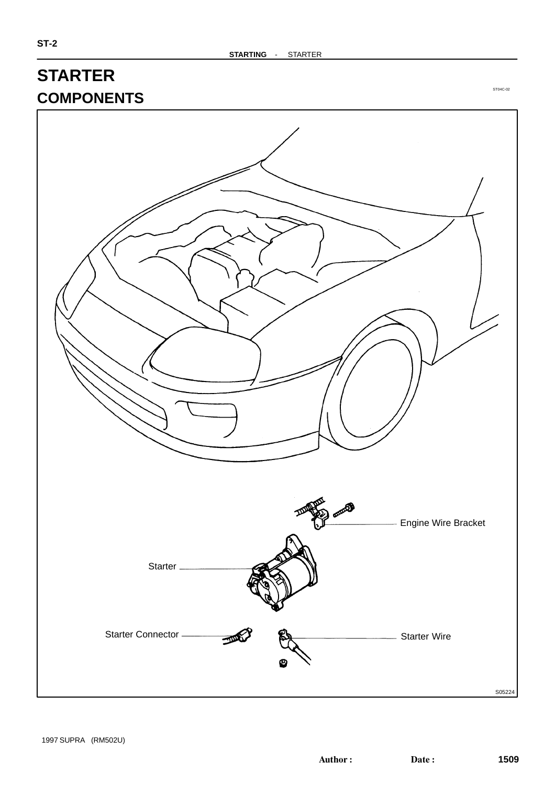### **STARTER COMPONENTS**



1997 SUPRA (RM502U)

ST04C-02